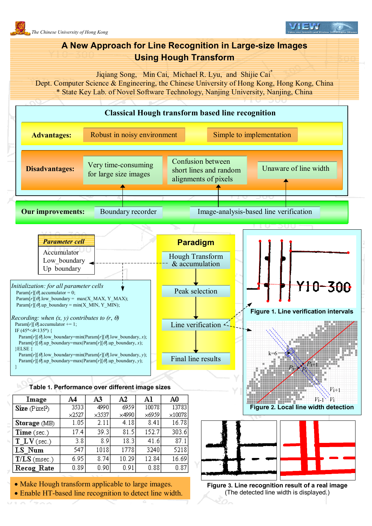

- Make Hough transform applicable to large images.
- Enable HT-based line recognition to detect line width.

**Figure 3. Line recognition result of a real image** (The detected line width is displayed.)